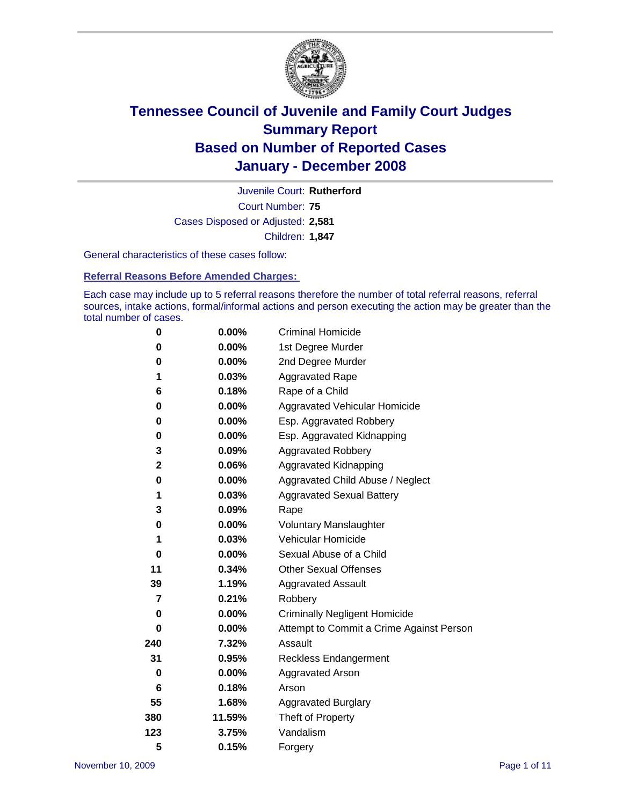

Court Number: **75** Juvenile Court: **Rutherford** Cases Disposed or Adjusted: **2,581** Children: **1,847**

General characteristics of these cases follow:

**Referral Reasons Before Amended Charges:** 

Each case may include up to 5 referral reasons therefore the number of total referral reasons, referral sources, intake actions, formal/informal actions and person executing the action may be greater than the total number of cases.

| 0   | $0.00\%$ | <b>Criminal Homicide</b>                 |
|-----|----------|------------------------------------------|
| 0   | 0.00%    | 1st Degree Murder                        |
| 0   | $0.00\%$ | 2nd Degree Murder                        |
| 1   | 0.03%    | <b>Aggravated Rape</b>                   |
| 6   | 0.18%    | Rape of a Child                          |
| 0   | 0.00%    | Aggravated Vehicular Homicide            |
| 0   | 0.00%    | Esp. Aggravated Robbery                  |
| 0   | $0.00\%$ | Esp. Aggravated Kidnapping               |
| 3   | 0.09%    | <b>Aggravated Robbery</b>                |
| 2   | 0.06%    | Aggravated Kidnapping                    |
| 0   | $0.00\%$ | Aggravated Child Abuse / Neglect         |
| 1   | 0.03%    | <b>Aggravated Sexual Battery</b>         |
| 3   | 0.09%    | Rape                                     |
| 0   | 0.00%    | <b>Voluntary Manslaughter</b>            |
| 1   | 0.03%    | Vehicular Homicide                       |
| 0   | 0.00%    | Sexual Abuse of a Child                  |
| 11  | 0.34%    | <b>Other Sexual Offenses</b>             |
| 39  | 1.19%    | <b>Aggravated Assault</b>                |
| 7   | 0.21%    | Robbery                                  |
| 0   | 0.00%    | <b>Criminally Negligent Homicide</b>     |
| 0   | $0.00\%$ | Attempt to Commit a Crime Against Person |
| 240 | 7.32%    | Assault                                  |
| 31  | 0.95%    | <b>Reckless Endangerment</b>             |
| 0   | 0.00%    | <b>Aggravated Arson</b>                  |
| 6   | 0.18%    | Arson                                    |
| 55  | 1.68%    | Aggravated Burglary                      |
| 380 | 11.59%   | Theft of Property                        |
| 123 | 3.75%    | Vandalism                                |
| 5   | 0.15%    | Forgery                                  |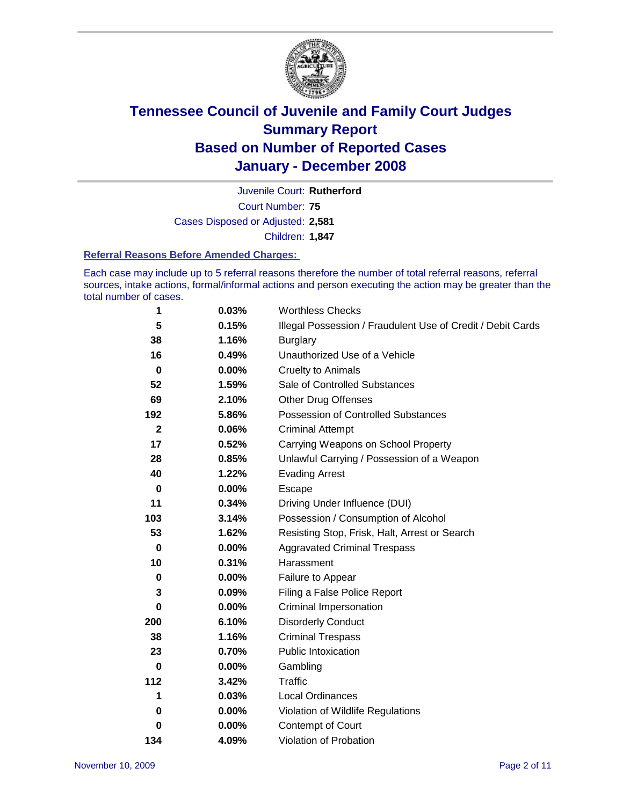

Court Number: **75** Juvenile Court: **Rutherford** Cases Disposed or Adjusted: **2,581** Children: **1,847**

#### **Referral Reasons Before Amended Charges:**

Each case may include up to 5 referral reasons therefore the number of total referral reasons, referral sources, intake actions, formal/informal actions and person executing the action may be greater than the total number of cases.

| 1            | 0.03%    | <b>Worthless Checks</b>                                     |
|--------------|----------|-------------------------------------------------------------|
| 5            | 0.15%    | Illegal Possession / Fraudulent Use of Credit / Debit Cards |
| 38           | 1.16%    | <b>Burglary</b>                                             |
| 16           | 0.49%    | Unauthorized Use of a Vehicle                               |
| $\bf{0}$     | 0.00%    | <b>Cruelty to Animals</b>                                   |
| 52           | 1.59%    | Sale of Controlled Substances                               |
| 69           | 2.10%    | <b>Other Drug Offenses</b>                                  |
| 192          | 5.86%    | Possession of Controlled Substances                         |
| $\mathbf{2}$ | 0.06%    | <b>Criminal Attempt</b>                                     |
| 17           | 0.52%    | Carrying Weapons on School Property                         |
| 28           | 0.85%    | Unlawful Carrying / Possession of a Weapon                  |
| 40           | 1.22%    | <b>Evading Arrest</b>                                       |
| 0            | 0.00%    | Escape                                                      |
| 11           | 0.34%    | Driving Under Influence (DUI)                               |
| 103          | 3.14%    | Possession / Consumption of Alcohol                         |
| 53           | 1.62%    | Resisting Stop, Frisk, Halt, Arrest or Search               |
| 0            | 0.00%    | <b>Aggravated Criminal Trespass</b>                         |
| 10           | 0.31%    | Harassment                                                  |
| 0            | 0.00%    | Failure to Appear                                           |
| 3            | 0.09%    | Filing a False Police Report                                |
| 0            | 0.00%    | Criminal Impersonation                                      |
| 200          | 6.10%    | <b>Disorderly Conduct</b>                                   |
| 38           | 1.16%    | <b>Criminal Trespass</b>                                    |
| 23           | 0.70%    | <b>Public Intoxication</b>                                  |
| 0            | $0.00\%$ | Gambling                                                    |
| 112          | 3.42%    | <b>Traffic</b>                                              |
| 1            | 0.03%    | <b>Local Ordinances</b>                                     |
| 0            | 0.00%    | Violation of Wildlife Regulations                           |
| 0            | $0.00\%$ | Contempt of Court                                           |
| 134          | 4.09%    | Violation of Probation                                      |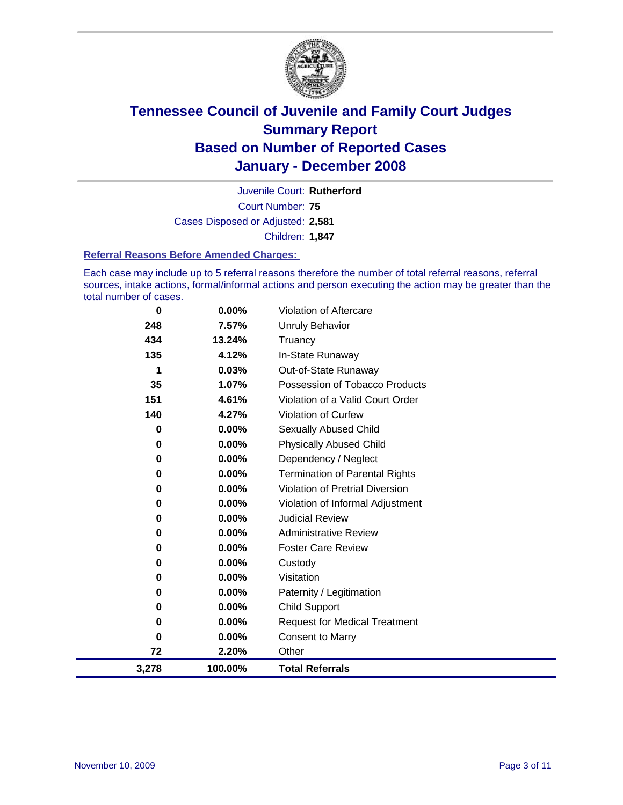

Court Number: **75** Juvenile Court: **Rutherford** Cases Disposed or Adjusted: **2,581** Children: **1,847**

#### **Referral Reasons Before Amended Charges:**

Each case may include up to 5 referral reasons therefore the number of total referral reasons, referral sources, intake actions, formal/informal actions and person executing the action may be greater than the total number of cases.

| 3,278    | 100.00%  | <b>Total Referrals</b>                 |
|----------|----------|----------------------------------------|
| 72       | 2.20%    | Other                                  |
| 0        | 0.00%    | <b>Consent to Marry</b>                |
| 0        | $0.00\%$ | <b>Request for Medical Treatment</b>   |
| 0        | $0.00\%$ | <b>Child Support</b>                   |
| 0        | $0.00\%$ | Paternity / Legitimation               |
| 0        | 0.00%    | Visitation                             |
| $\bf{0}$ | 0.00%    | Custody                                |
| 0        | $0.00\%$ | <b>Foster Care Review</b>              |
| 0        | $0.00\%$ | <b>Administrative Review</b>           |
| 0        | 0.00%    | <b>Judicial Review</b>                 |
| 0        | $0.00\%$ | Violation of Informal Adjustment       |
| 0        | $0.00\%$ | <b>Violation of Pretrial Diversion</b> |
| 0        | 0.00%    | <b>Termination of Parental Rights</b>  |
| 0        | $0.00\%$ | Dependency / Neglect                   |
| $\bf{0}$ | 0.00%    | <b>Physically Abused Child</b>         |
| 0        | $0.00\%$ | <b>Sexually Abused Child</b>           |
| 140      | 4.27%    | Violation of Curfew                    |
| 151      | 4.61%    | Violation of a Valid Court Order       |
| 35       | 1.07%    | Possession of Tobacco Products         |
| 1        | 0.03%    | Out-of-State Runaway                   |
| 135      | 4.12%    | In-State Runaway                       |
| 434      | 13.24%   | Truancy                                |
| 248      | 7.57%    | <b>Unruly Behavior</b>                 |
| 0        | 0.00%    | Violation of Aftercare                 |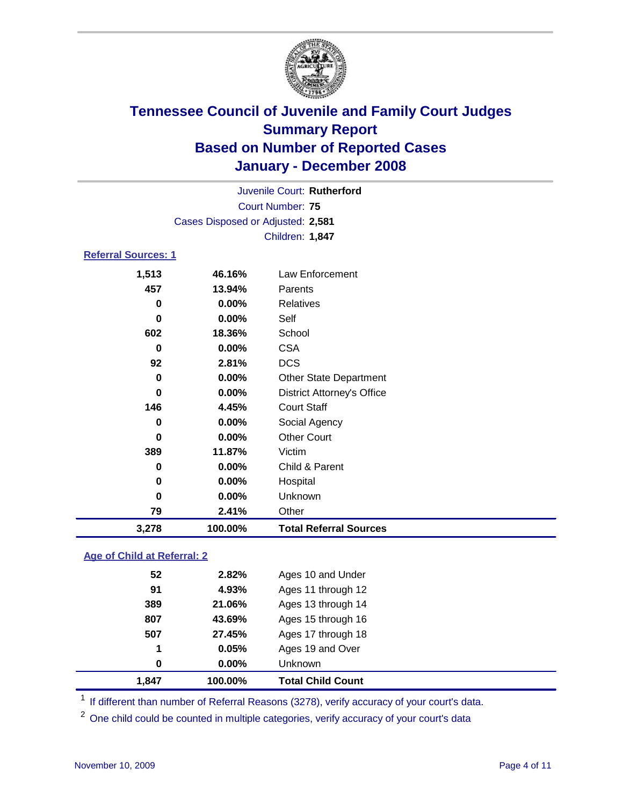

Court Number: **75** Juvenile Court: **Rutherford** Cases Disposed or Adjusted: **2,581** Children: **1,847**

### **Referral Sources: 1**

| 1,513    | 46.16%  | Law Enforcement                   |
|----------|---------|-----------------------------------|
| 457      | 13.94%  | Parents                           |
| 0        | 0.00%   | Relatives                         |
| 0        | 0.00%   | Self                              |
| 602      | 18.36%  | School                            |
| 0        | 0.00%   | <b>CSA</b>                        |
| 92       | 2.81%   | <b>DCS</b>                        |
| 0        | 0.00%   | <b>Other State Department</b>     |
| $\bf{0}$ | 0.00%   | <b>District Attorney's Office</b> |
| 146      | 4.45%   | <b>Court Staff</b>                |
| 0        | 0.00%   | Social Agency                     |
| 0        | 0.00%   | <b>Other Court</b>                |
| 389      | 11.87%  | Victim                            |
| 0        | 0.00%   | Child & Parent                    |
| 0        | 0.00%   | Hospital                          |
| 0        | 0.00%   | Unknown                           |
| 79       | 2.41%   | Other                             |
| 3,278    | 100.00% | <b>Total Referral Sources</b>     |

### **Age of Child at Referral: 2**

| 1,847 | 100.00%  | <b>Total Child Count</b> |
|-------|----------|--------------------------|
| 0     | $0.00\%$ | Unknown                  |
| 1     | 0.05%    | Ages 19 and Over         |
| 507   | 27.45%   | Ages 17 through 18       |
| 807   | 43.69%   | Ages 15 through 16       |
| 389   | 21.06%   | Ages 13 through 14       |
| 91    | 4.93%    | Ages 11 through 12       |
| 52    | 2.82%    | Ages 10 and Under        |

<sup>1</sup> If different than number of Referral Reasons (3278), verify accuracy of your court's data.

<sup>2</sup> One child could be counted in multiple categories, verify accuracy of your court's data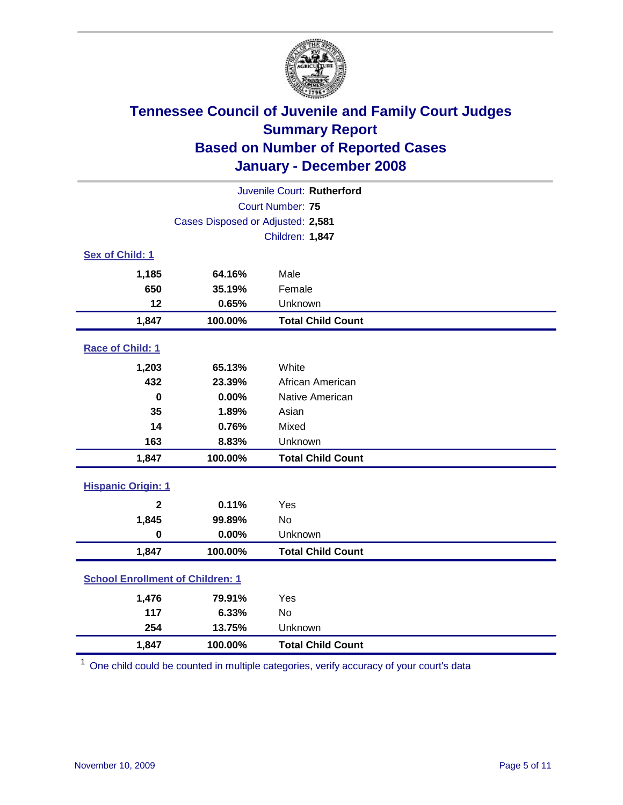

| Juvenile Court: Rutherford              |                                   |                          |  |  |
|-----------------------------------------|-----------------------------------|--------------------------|--|--|
| Court Number: 75                        |                                   |                          |  |  |
|                                         | Cases Disposed or Adjusted: 2,581 |                          |  |  |
|                                         |                                   | Children: 1,847          |  |  |
| Sex of Child: 1                         |                                   |                          |  |  |
| 1,185                                   | 64.16%                            | Male                     |  |  |
| 650                                     | 35.19%                            | Female                   |  |  |
| 12                                      | 0.65%                             | Unknown                  |  |  |
| 1,847                                   | 100.00%                           | <b>Total Child Count</b> |  |  |
| Race of Child: 1                        |                                   |                          |  |  |
| 1,203                                   | 65.13%                            | White                    |  |  |
| 432                                     | 23.39%                            | African American         |  |  |
| $\mathbf 0$                             | 0.00%                             | Native American          |  |  |
| 35                                      | 1.89%                             | Asian                    |  |  |
| 14                                      | 0.76%                             | Mixed                    |  |  |
| 163                                     | 8.83%                             | Unknown                  |  |  |
| 1,847                                   | 100.00%                           | <b>Total Child Count</b> |  |  |
| <b>Hispanic Origin: 1</b>               |                                   |                          |  |  |
| $\mathbf{2}$                            | 0.11%                             | Yes                      |  |  |
| 1,845                                   | 99.89%                            | <b>No</b>                |  |  |
| $\mathbf 0$                             | 0.00%                             | Unknown                  |  |  |
| 1,847                                   | 100.00%                           | <b>Total Child Count</b> |  |  |
| <b>School Enrollment of Children: 1</b> |                                   |                          |  |  |
| 1,476                                   | 79.91%                            | Yes                      |  |  |
| 117                                     | 6.33%                             | No                       |  |  |
| 254                                     | 13.75%                            | Unknown                  |  |  |
| 1,847                                   | 100.00%                           | <b>Total Child Count</b> |  |  |

<sup>1</sup> One child could be counted in multiple categories, verify accuracy of your court's data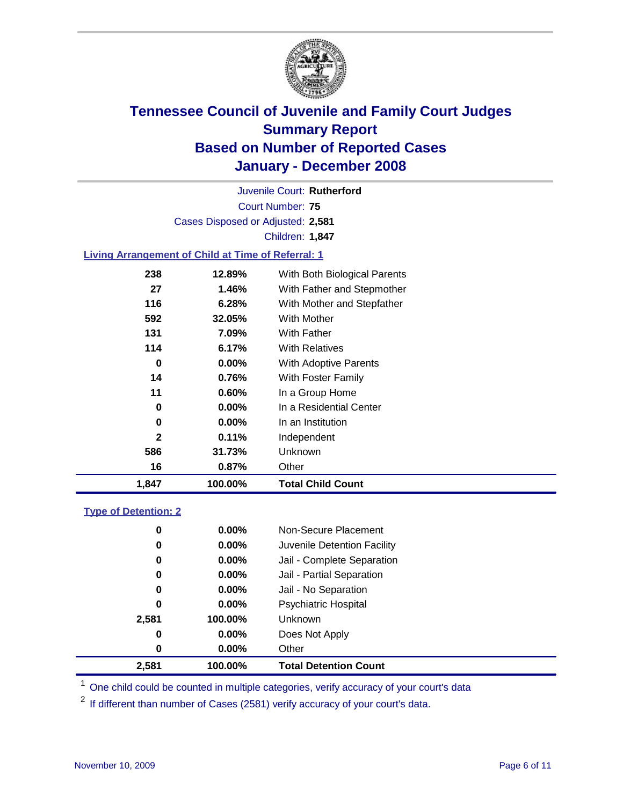

Court Number: **75** Juvenile Court: **Rutherford** Cases Disposed or Adjusted: **2,581** Children: **1,847**

### **Living Arrangement of Child at Time of Referral: 1**

| 1,847 | 100.00%  | <b>Total Child Count</b>     |
|-------|----------|------------------------------|
| 16    | 0.87%    | Other                        |
| 586   | 31.73%   | Unknown                      |
| 2     | 0.11%    | Independent                  |
| 0     | $0.00\%$ | In an Institution            |
| 0     | $0.00\%$ | In a Residential Center      |
| 11    | 0.60%    | In a Group Home              |
| 14    | 0.76%    | With Foster Family           |
| 0     | 0.00%    | With Adoptive Parents        |
| 114   | 6.17%    | <b>With Relatives</b>        |
| 131   | 7.09%    | <b>With Father</b>           |
| 592   | 32.05%   | With Mother                  |
| 116   | 6.28%    | With Mother and Stepfather   |
| 27    | 1.46%    | With Father and Stepmother   |
| 238   | 12.89%   | With Both Biological Parents |
|       |          |                              |

#### **Type of Detention: 2**

| 2,581 | 100.00%  | <b>Total Detention Count</b> |  |
|-------|----------|------------------------------|--|
| 0     | $0.00\%$ | Other                        |  |
| 0     | 0.00%    | Does Not Apply               |  |
| 2,581 | 100.00%  | <b>Unknown</b>               |  |
| 0     | 0.00%    | <b>Psychiatric Hospital</b>  |  |
| 0     | 0.00%    | Jail - No Separation         |  |
| 0     | $0.00\%$ | Jail - Partial Separation    |  |
| 0     | 0.00%    | Jail - Complete Separation   |  |
| 0     | 0.00%    | Juvenile Detention Facility  |  |
| 0     | $0.00\%$ | Non-Secure Placement         |  |
|       |          |                              |  |

<sup>1</sup> One child could be counted in multiple categories, verify accuracy of your court's data

<sup>2</sup> If different than number of Cases (2581) verify accuracy of your court's data.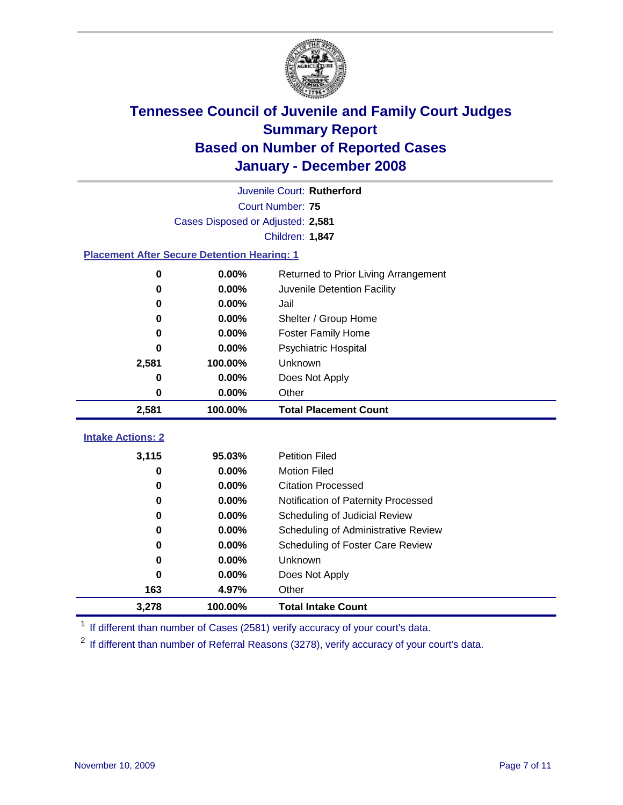

|                                                    | Juvenile Court: Rutherford        |                                      |  |  |  |
|----------------------------------------------------|-----------------------------------|--------------------------------------|--|--|--|
|                                                    | Court Number: 75                  |                                      |  |  |  |
|                                                    | Cases Disposed or Adjusted: 2,581 |                                      |  |  |  |
|                                                    |                                   | Children: 1,847                      |  |  |  |
| <b>Placement After Secure Detention Hearing: 1</b> |                                   |                                      |  |  |  |
| 0                                                  | 0.00%                             | Returned to Prior Living Arrangement |  |  |  |
| $\bf{0}$                                           | 0.00%                             | Juvenile Detention Facility          |  |  |  |
| 0                                                  | 0.00%                             | Jail                                 |  |  |  |
| $\bf{0}$                                           | 0.00%                             | Shelter / Group Home                 |  |  |  |
| 0                                                  | 0.00%                             | <b>Foster Family Home</b>            |  |  |  |
| 0                                                  | 0.00%                             | Psychiatric Hospital                 |  |  |  |
| 2,581                                              | 100.00%                           | Unknown                              |  |  |  |
| 0                                                  | 0.00%                             | Does Not Apply                       |  |  |  |
| 0                                                  | 0.00%                             | Other                                |  |  |  |
| 2,581                                              | 100.00%                           | <b>Total Placement Count</b>         |  |  |  |
| <b>Intake Actions: 2</b>                           |                                   |                                      |  |  |  |
|                                                    |                                   |                                      |  |  |  |
| 3,115                                              | 95.03%                            | <b>Petition Filed</b>                |  |  |  |
| 0                                                  | 0.00%                             | <b>Motion Filed</b>                  |  |  |  |
| 0                                                  | 0.00%                             | <b>Citation Processed</b>            |  |  |  |
| 0                                                  | 0.00%                             | Notification of Paternity Processed  |  |  |  |
| $\bf{0}$                                           | 0.00%                             | Scheduling of Judicial Review        |  |  |  |
| 0                                                  | 0.00%                             | Scheduling of Administrative Review  |  |  |  |
| 0                                                  | 0.00%                             | Scheduling of Foster Care Review     |  |  |  |
| $\bf{0}$                                           | 0.00%                             | Unknown                              |  |  |  |
| 0                                                  | 0.00%                             | Does Not Apply                       |  |  |  |
| 163                                                | 4.97%                             | Other                                |  |  |  |
| 3,278                                              | 100.00%                           | <b>Total Intake Count</b>            |  |  |  |

<sup>1</sup> If different than number of Cases (2581) verify accuracy of your court's data.

<sup>2</sup> If different than number of Referral Reasons (3278), verify accuracy of your court's data.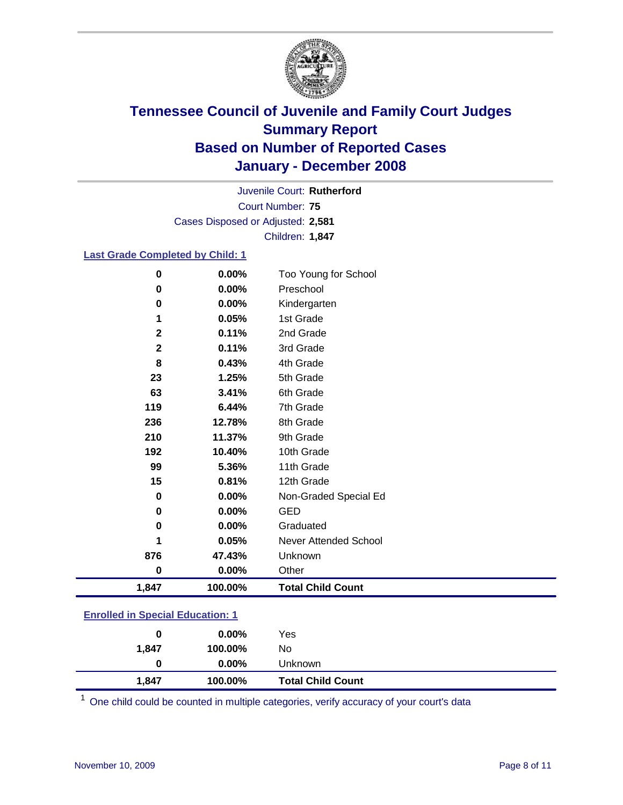

Court Number: **75** Juvenile Court: **Rutherford** Cases Disposed or Adjusted: **2,581** Children: **1,847**

### **Last Grade Completed by Child: 1**

| 0            | 0.00%   | Too Young for School     |
|--------------|---------|--------------------------|
| 0            | 0.00%   | Preschool                |
| 0            | 0.00%   | Kindergarten             |
| 1            | 0.05%   | 1st Grade                |
| $\mathbf{2}$ | 0.11%   | 2nd Grade                |
| $\mathbf 2$  | 0.11%   | 3rd Grade                |
| 8            | 0.43%   | 4th Grade                |
| 23           | 1.25%   | 5th Grade                |
| 63           | 3.41%   | 6th Grade                |
| 119          | 6.44%   | 7th Grade                |
| 236          | 12.78%  | 8th Grade                |
| 210          | 11.37%  | 9th Grade                |
| 192          | 10.40%  | 10th Grade               |
| 99           | 5.36%   | 11th Grade               |
| 15           | 0.81%   | 12th Grade               |
| 0            | 0.00%   | Non-Graded Special Ed    |
| 0            | 0.00%   | <b>GED</b>               |
| 0            | 0.00%   | Graduated                |
| 1            | 0.05%   | Never Attended School    |
| 876          | 47.43%  | Unknown                  |
| 0            | 0.00%   | Other                    |
| 1,847        | 100.00% | <b>Total Child Count</b> |

### **Enrolled in Special Education: 1**

| 0     | $0.00\%$ | Yes                      |
|-------|----------|--------------------------|
| 1,847 | 100.00%  | No                       |
| 0     | $0.00\%$ | Unknown                  |
| 1,847 | 100.00%  | <b>Total Child Count</b> |

One child could be counted in multiple categories, verify accuracy of your court's data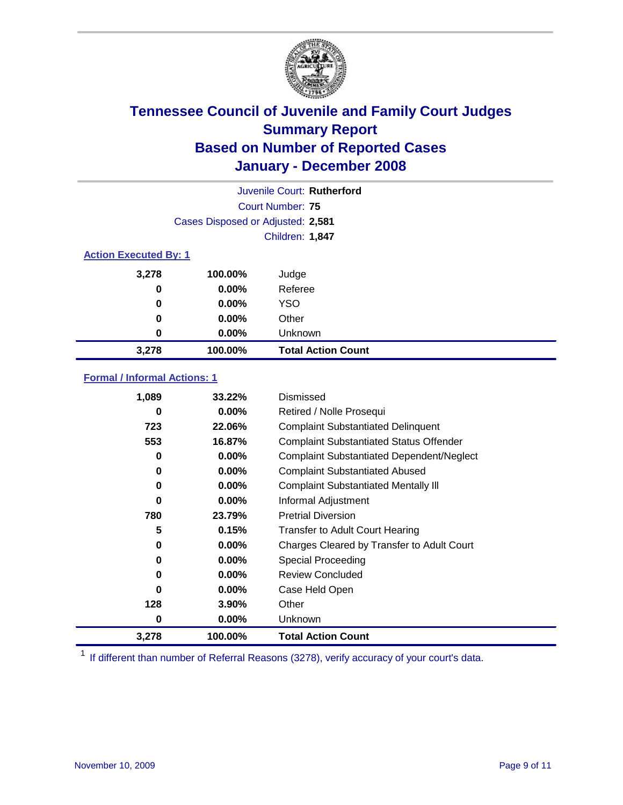

| Juvenile Court: Rutherford   |                                   |                           |  |  |
|------------------------------|-----------------------------------|---------------------------|--|--|
|                              | Court Number: 75                  |                           |  |  |
|                              | Cases Disposed or Adjusted: 2,581 |                           |  |  |
|                              |                                   | Children: 1,847           |  |  |
| <b>Action Executed By: 1</b> |                                   |                           |  |  |
| 3,278                        | 100.00%                           | Judge                     |  |  |
| 0                            | $0.00\%$                          | Referee                   |  |  |
| 0                            | $0.00\%$                          | <b>YSO</b>                |  |  |
| 0                            | $0.00\%$                          | Other                     |  |  |
| 0                            | $0.00\%$                          | Unknown                   |  |  |
| 3,278                        | 100.00%                           | <b>Total Action Count</b> |  |  |

### **Formal / Informal Actions: 1**

| 1,089 | 33.22%   | Dismissed                                        |
|-------|----------|--------------------------------------------------|
| 0     | $0.00\%$ | Retired / Nolle Prosequi                         |
| 723   | 22.06%   | <b>Complaint Substantiated Delinquent</b>        |
| 553   | 16.87%   | <b>Complaint Substantiated Status Offender</b>   |
| 0     | $0.00\%$ | <b>Complaint Substantiated Dependent/Neglect</b> |
| 0     | $0.00\%$ | <b>Complaint Substantiated Abused</b>            |
| 0     | $0.00\%$ | <b>Complaint Substantiated Mentally III</b>      |
| 0     | $0.00\%$ | Informal Adjustment                              |
| 780   | 23.79%   | <b>Pretrial Diversion</b>                        |
| 5     | 0.15%    | <b>Transfer to Adult Court Hearing</b>           |
| 0     | $0.00\%$ | Charges Cleared by Transfer to Adult Court       |
| 0     | $0.00\%$ | Special Proceeding                               |
| 0     | $0.00\%$ | <b>Review Concluded</b>                          |
| 0     | $0.00\%$ | Case Held Open                                   |
| 128   | $3.90\%$ | Other                                            |
| 0     | $0.00\%$ | Unknown                                          |
| 3,278 | 100.00%  | <b>Total Action Count</b>                        |

<sup>1</sup> If different than number of Referral Reasons (3278), verify accuracy of your court's data.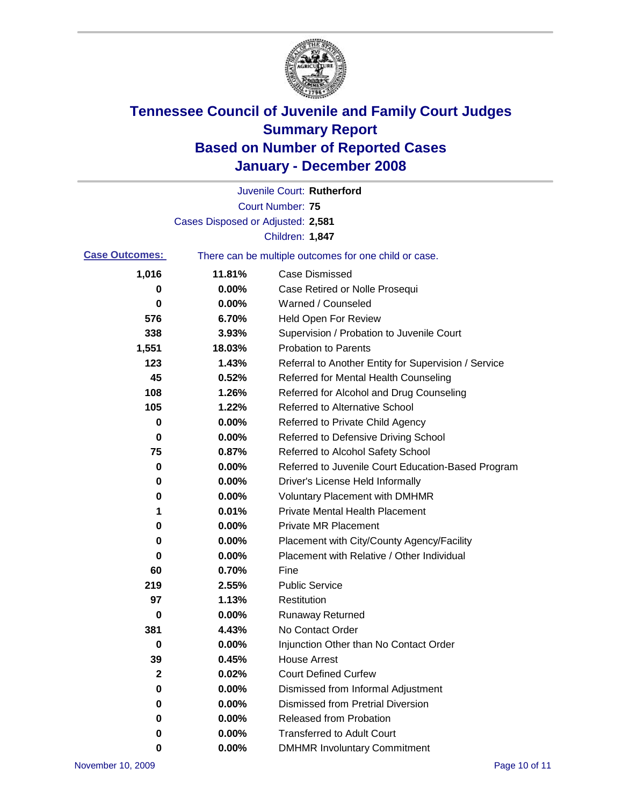

|                       |                                   | Juvenile Court: Rutherford                            |
|-----------------------|-----------------------------------|-------------------------------------------------------|
|                       |                                   | <b>Court Number: 75</b>                               |
|                       | Cases Disposed or Adjusted: 2,581 |                                                       |
|                       |                                   | Children: 1,847                                       |
| <b>Case Outcomes:</b> |                                   | There can be multiple outcomes for one child or case. |
| 1,016                 | 11.81%                            | <b>Case Dismissed</b>                                 |
| 0                     | 0.00%                             | Case Retired or Nolle Prosequi                        |
| 0                     | 0.00%                             | Warned / Counseled                                    |
| 576                   | 6.70%                             | <b>Held Open For Review</b>                           |
| 338                   | 3.93%                             | Supervision / Probation to Juvenile Court             |
| 1,551                 | 18.03%                            | <b>Probation to Parents</b>                           |
| 123                   | 1.43%                             | Referral to Another Entity for Supervision / Service  |
| 45                    | 0.52%                             | Referred for Mental Health Counseling                 |
| 108                   | 1.26%                             | Referred for Alcohol and Drug Counseling              |
| 105                   | 1.22%                             | Referred to Alternative School                        |
| 0                     | 0.00%                             | Referred to Private Child Agency                      |
| 0                     | 0.00%                             | Referred to Defensive Driving School                  |
| 75                    | 0.87%                             | Referred to Alcohol Safety School                     |
| 0                     | 0.00%                             | Referred to Juvenile Court Education-Based Program    |
| 0                     | 0.00%                             | Driver's License Held Informally                      |
| 0                     | 0.00%                             | <b>Voluntary Placement with DMHMR</b>                 |
| 1                     | 0.01%                             | <b>Private Mental Health Placement</b>                |
| 0                     | 0.00%                             | <b>Private MR Placement</b>                           |
| 0                     | 0.00%                             | Placement with City/County Agency/Facility            |
| 0                     | 0.00%                             | Placement with Relative / Other Individual            |
| 60                    | 0.70%                             | Fine                                                  |
| 219                   | 2.55%                             | <b>Public Service</b>                                 |
| 97                    | 1.13%                             | Restitution                                           |
| 0                     | 0.00%                             | <b>Runaway Returned</b>                               |
| 381                   | 4.43%                             | No Contact Order                                      |
| 0                     | 0.00%                             | Injunction Other than No Contact Order                |
| 39                    | 0.45%                             | <b>House Arrest</b>                                   |
| 2                     | 0.02%                             | <b>Court Defined Curfew</b>                           |
| 0                     | 0.00%                             | Dismissed from Informal Adjustment                    |
| 0                     | 0.00%                             | <b>Dismissed from Pretrial Diversion</b>              |
| 0                     | 0.00%                             | Released from Probation                               |
| 0                     | 0.00%                             | <b>Transferred to Adult Court</b>                     |
| 0                     | $0.00\%$                          | <b>DMHMR Involuntary Commitment</b>                   |